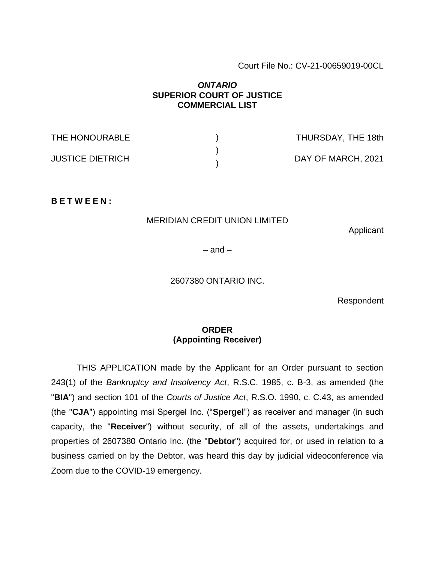### Court File No.: CV-21-00659019-00CL

## *ONTARIO* **SUPERIOR COURT OF JUSTICE COMMERCIAL LIST**

THE HONOURABLE JUSTICE DIETRICH ) ) ) THURSDAY, THE 18th DAY OF MARCH, 2021

**B E T W E E N :**

### MERIDIAN CREDIT UNION LIMITED

Applicant

 $-$  and  $-$ 

2607380 ONTARIO INC.

Respondent

## **ORDER (Appointing Receiver)**

THIS APPLICATION made by the Applicant for an Order pursuant to section 243(1) of the *Bankruptcy and Insolvency Act*, R.S.C. 1985, c. B-3, as amended (the "**BIA**") and section 101 of the *Courts of Justice Act*, R.S.O. 1990, c. C.43, as amended (the "**CJA**") appointing msi Spergel Inc. ("**Spergel**") as receiver and manager (in such capacity, the "**Receiver**") without security, of all of the assets, undertakings and properties of 2607380 Ontario Inc. (the "**Debtor**") acquired for, or used in relation to a business carried on by the Debtor, was heard this day by judicial videoconference via Zoom due to the COVID-19 emergency.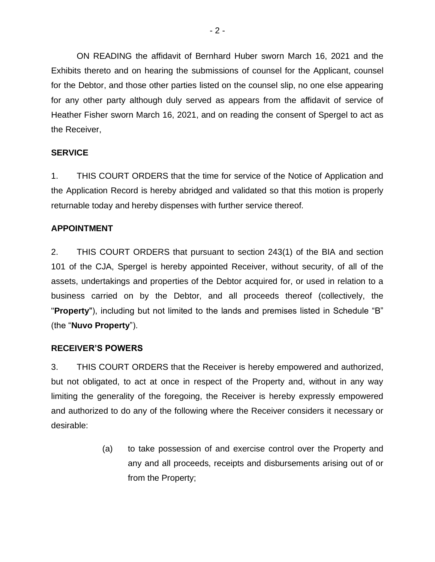ON READING the affidavit of Bernhard Huber sworn March 16, 2021 and the Exhibits thereto and on hearing the submissions of counsel for the Applicant, counsel for the Debtor, and those other parties listed on the counsel slip, no one else appearing for any other party although duly served as appears from the affidavit of service of Heather Fisher sworn March 16, 2021, and on reading the consent of Spergel to act as the Receiver,

# **SERVICE**

1. THIS COURT ORDERS that the time for service of the Notice of Application and the Application Record is hereby abridged and validated so that this motion is properly returnable today and hereby dispenses with further service thereof.

# **APPOINTMENT**

2. THIS COURT ORDERS that pursuant to section 243(1) of the BIA and section 101 of the CJA, Spergel is hereby appointed Receiver, without security, of all of the assets, undertakings and properties of the Debtor acquired for, or used in relation to a business carried on by the Debtor, and all proceeds thereof (collectively, the "**Property**"), including but not limited to the lands and premises listed in Schedule "B" (the "**Nuvo Property**").

## **RECEIVER'S POWERS**

3. THIS COURT ORDERS that the Receiver is hereby empowered and authorized, but not obligated, to act at once in respect of the Property and, without in any way limiting the generality of the foregoing, the Receiver is hereby expressly empowered and authorized to do any of the following where the Receiver considers it necessary or desirable:

> (a) to take possession of and exercise control over the Property and any and all proceeds, receipts and disbursements arising out of or from the Property;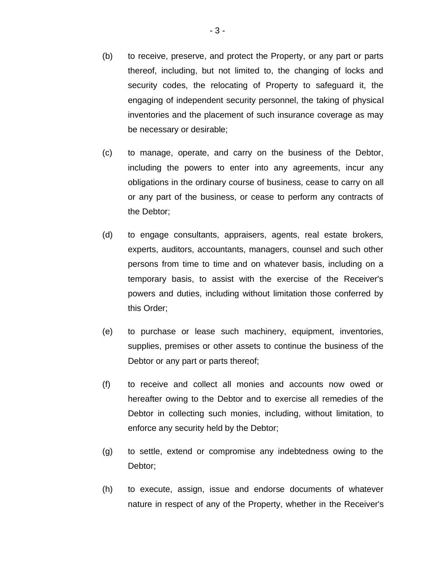- (b) to receive, preserve, and protect the Property, or any part or parts thereof, including, but not limited to, the changing of locks and security codes, the relocating of Property to safeguard it, the engaging of independent security personnel, the taking of physical inventories and the placement of such insurance coverage as may be necessary or desirable;
- (c) to manage, operate, and carry on the business of the Debtor, including the powers to enter into any agreements, incur any obligations in the ordinary course of business, cease to carry on all or any part of the business, or cease to perform any contracts of the Debtor;
- (d) to engage consultants, appraisers, agents, real estate brokers, experts, auditors, accountants, managers, counsel and such other persons from time to time and on whatever basis, including on a temporary basis, to assist with the exercise of the Receiver's powers and duties, including without limitation those conferred by this Order;
- (e) to purchase or lease such machinery, equipment, inventories, supplies, premises or other assets to continue the business of the Debtor or any part or parts thereof;
- (f) to receive and collect all monies and accounts now owed or hereafter owing to the Debtor and to exercise all remedies of the Debtor in collecting such monies, including, without limitation, to enforce any security held by the Debtor;
- (g) to settle, extend or compromise any indebtedness owing to the Debtor;
- (h) to execute, assign, issue and endorse documents of whatever nature in respect of any of the Property, whether in the Receiver's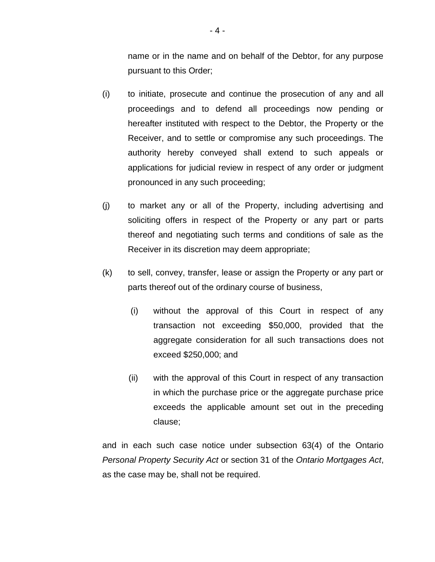name or in the name and on behalf of the Debtor, for any purpose pursuant to this Order;

- (i) to initiate, prosecute and continue the prosecution of any and all proceedings and to defend all proceedings now pending or hereafter instituted with respect to the Debtor, the Property or the Receiver, and to settle or compromise any such proceedings. The authority hereby conveyed shall extend to such appeals or applications for judicial review in respect of any order or judgment pronounced in any such proceeding;
- (j) to market any or all of the Property, including advertising and soliciting offers in respect of the Property or any part or parts thereof and negotiating such terms and conditions of sale as the Receiver in its discretion may deem appropriate;
- (k) to sell, convey, transfer, lease or assign the Property or any part or parts thereof out of the ordinary course of business,
	- (i) without the approval of this Court in respect of any transaction not exceeding \$50,000, provided that the aggregate consideration for all such transactions does not exceed \$250,000; and
	- (ii) with the approval of this Court in respect of any transaction in which the purchase price or the aggregate purchase price exceeds the applicable amount set out in the preceding clause;

and in each such case notice under subsection 63(4) of the Ontario *Personal Property Security Act* or section 31 of the *Ontario Mortgages Act*, as the case may be, shall not be required.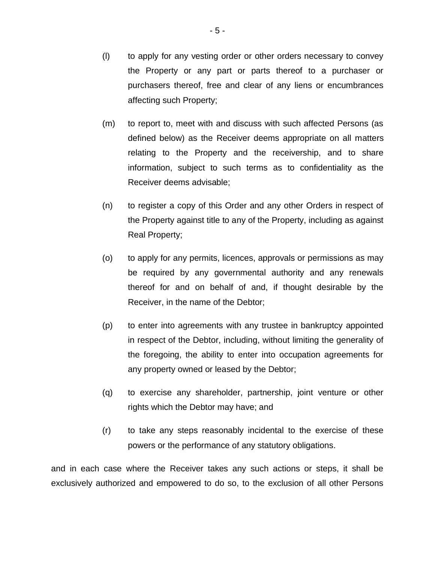- (l) to apply for any vesting order or other orders necessary to convey the Property or any part or parts thereof to a purchaser or purchasers thereof, free and clear of any liens or encumbrances affecting such Property;
- (m) to report to, meet with and discuss with such affected Persons (as defined below) as the Receiver deems appropriate on all matters relating to the Property and the receivership, and to share information, subject to such terms as to confidentiality as the Receiver deems advisable;
- (n) to register a copy of this Order and any other Orders in respect of the Property against title to any of the Property, including as against Real Property;
- (o) to apply for any permits, licences, approvals or permissions as may be required by any governmental authority and any renewals thereof for and on behalf of and, if thought desirable by the Receiver, in the name of the Debtor;
- (p) to enter into agreements with any trustee in bankruptcy appointed in respect of the Debtor, including, without limiting the generality of the foregoing, the ability to enter into occupation agreements for any property owned or leased by the Debtor;
- (q) to exercise any shareholder, partnership, joint venture or other rights which the Debtor may have; and
- (r) to take any steps reasonably incidental to the exercise of these powers or the performance of any statutory obligations.

and in each case where the Receiver takes any such actions or steps, it shall be exclusively authorized and empowered to do so, to the exclusion of all other Persons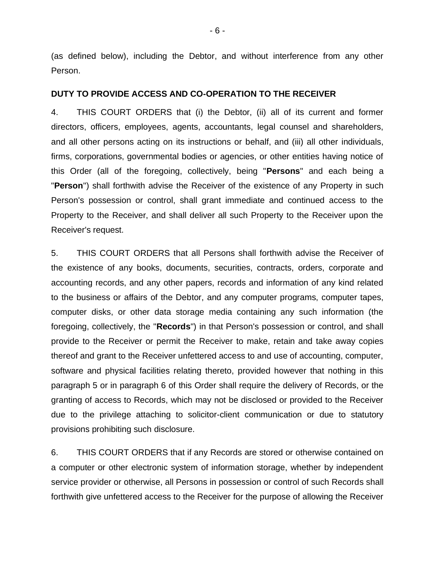(as defined below), including the Debtor, and without interference from any other Person.

#### **DUTY TO PROVIDE ACCESS AND CO-OPERATION TO THE RECEIVER**

4. THIS COURT ORDERS that (i) the Debtor, (ii) all of its current and former directors, officers, employees, agents, accountants, legal counsel and shareholders, and all other persons acting on its instructions or behalf, and (iii) all other individuals, firms, corporations, governmental bodies or agencies, or other entities having notice of this Order (all of the foregoing, collectively, being "**Persons**" and each being a "**Person**") shall forthwith advise the Receiver of the existence of any Property in such Person's possession or control, shall grant immediate and continued access to the Property to the Receiver, and shall deliver all such Property to the Receiver upon the Receiver's request.

5. THIS COURT ORDERS that all Persons shall forthwith advise the Receiver of the existence of any books, documents, securities, contracts, orders, corporate and accounting records, and any other papers, records and information of any kind related to the business or affairs of the Debtor, and any computer programs, computer tapes, computer disks, or other data storage media containing any such information (the foregoing, collectively, the "**Records**") in that Person's possession or control, and shall provide to the Receiver or permit the Receiver to make, retain and take away copies thereof and grant to the Receiver unfettered access to and use of accounting, computer, software and physical facilities relating thereto, provided however that nothing in this paragraph 5 or in paragraph 6 of this Order shall require the delivery of Records, or the granting of access to Records, which may not be disclosed or provided to the Receiver due to the privilege attaching to solicitor-client communication or due to statutory provisions prohibiting such disclosure.

6. THIS COURT ORDERS that if any Records are stored or otherwise contained on a computer or other electronic system of information storage, whether by independent service provider or otherwise, all Persons in possession or control of such Records shall forthwith give unfettered access to the Receiver for the purpose of allowing the Receiver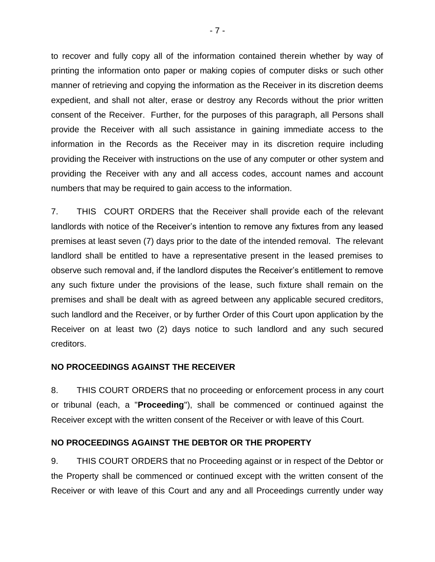to recover and fully copy all of the information contained therein whether by way of printing the information onto paper or making copies of computer disks or such other manner of retrieving and copying the information as the Receiver in its discretion deems expedient, and shall not alter, erase or destroy any Records without the prior written consent of the Receiver. Further, for the purposes of this paragraph, all Persons shall provide the Receiver with all such assistance in gaining immediate access to the information in the Records as the Receiver may in its discretion require including providing the Receiver with instructions on the use of any computer or other system and providing the Receiver with any and all access codes, account names and account numbers that may be required to gain access to the information.

7. THIS COURT ORDERS that the Receiver shall provide each of the relevant landlords with notice of the Receiver's intention to remove any fixtures from any leased premises at least seven (7) days prior to the date of the intended removal. The relevant landlord shall be entitled to have a representative present in the leased premises to observe such removal and, if the landlord disputes the Receiver's entitlement to remove any such fixture under the provisions of the lease, such fixture shall remain on the premises and shall be dealt with as agreed between any applicable secured creditors, such landlord and the Receiver, or by further Order of this Court upon application by the Receiver on at least two (2) days notice to such landlord and any such secured creditors.

## **NO PROCEEDINGS AGAINST THE RECEIVER**

8. THIS COURT ORDERS that no proceeding or enforcement process in any court or tribunal (each, a "**Proceeding**"), shall be commenced or continued against the Receiver except with the written consent of the Receiver or with leave of this Court.

# **NO PROCEEDINGS AGAINST THE DEBTOR OR THE PROPERTY**

9. THIS COURT ORDERS that no Proceeding against or in respect of the Debtor or the Property shall be commenced or continued except with the written consent of the Receiver or with leave of this Court and any and all Proceedings currently under way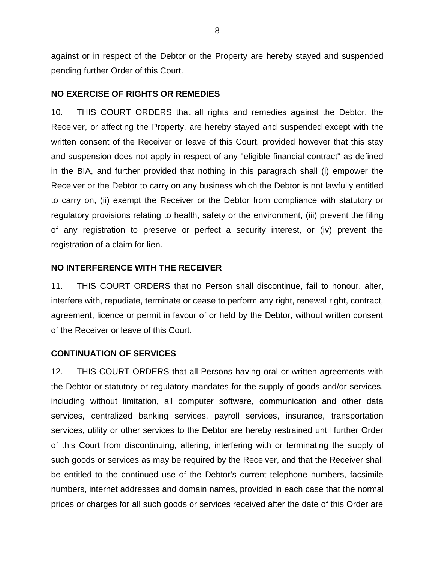against or in respect of the Debtor or the Property are hereby stayed and suspended pending further Order of this Court.

### **NO EXERCISE OF RIGHTS OR REMEDIES**

10. THIS COURT ORDERS that all rights and remedies against the Debtor, the Receiver, or affecting the Property, are hereby stayed and suspended except with the written consent of the Receiver or leave of this Court, provided however that this stay and suspension does not apply in respect of any "eligible financial contract" as defined in the BIA, and further provided that nothing in this paragraph shall (i) empower the Receiver or the Debtor to carry on any business which the Debtor is not lawfully entitled to carry on, (ii) exempt the Receiver or the Debtor from compliance with statutory or regulatory provisions relating to health, safety or the environment, (iii) prevent the filing of any registration to preserve or perfect a security interest, or (iv) prevent the registration of a claim for lien.

## **NO INTERFERENCE WITH THE RECEIVER**

11. THIS COURT ORDERS that no Person shall discontinue, fail to honour, alter, interfere with, repudiate, terminate or cease to perform any right, renewal right, contract, agreement, licence or permit in favour of or held by the Debtor, without written consent of the Receiver or leave of this Court.

## **CONTINUATION OF SERVICES**

12. THIS COURT ORDERS that all Persons having oral or written agreements with the Debtor or statutory or regulatory mandates for the supply of goods and/or services, including without limitation, all computer software, communication and other data services, centralized banking services, payroll services, insurance, transportation services, utility or other services to the Debtor are hereby restrained until further Order of this Court from discontinuing, altering, interfering with or terminating the supply of such goods or services as may be required by the Receiver, and that the Receiver shall be entitled to the continued use of the Debtor's current telephone numbers, facsimile numbers, internet addresses and domain names, provided in each case that the normal prices or charges for all such goods or services received after the date of this Order are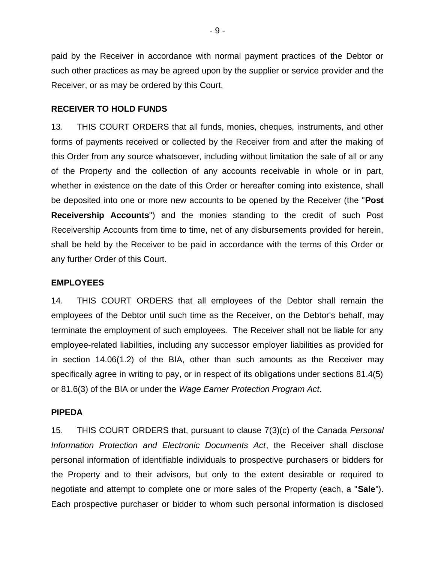paid by the Receiver in accordance with normal payment practices of the Debtor or such other practices as may be agreed upon by the supplier or service provider and the Receiver, or as may be ordered by this Court.

#### **RECEIVER TO HOLD FUNDS**

13. THIS COURT ORDERS that all funds, monies, cheques, instruments, and other forms of payments received or collected by the Receiver from and after the making of this Order from any source whatsoever, including without limitation the sale of all or any of the Property and the collection of any accounts receivable in whole or in part, whether in existence on the date of this Order or hereafter coming into existence, shall be deposited into one or more new accounts to be opened by the Receiver (the "**Post Receivership Accounts**") and the monies standing to the credit of such Post Receivership Accounts from time to time, net of any disbursements provided for herein, shall be held by the Receiver to be paid in accordance with the terms of this Order or any further Order of this Court.

### **EMPLOYEES**

14. THIS COURT ORDERS that all employees of the Debtor shall remain the employees of the Debtor until such time as the Receiver, on the Debtor's behalf, may terminate the employment of such employees. The Receiver shall not be liable for any employee-related liabilities, including any successor employer liabilities as provided for in section 14.06(1.2) of the BIA, other than such amounts as the Receiver may specifically agree in writing to pay, or in respect of its obligations under sections 81.4(5) or 81.6(3) of the BIA or under the *Wage Earner Protection Program Act*.

#### **PIPEDA**

15. THIS COURT ORDERS that, pursuant to clause 7(3)(c) of the Canada *Personal Information Protection and Electronic Documents Act*, the Receiver shall disclose personal information of identifiable individuals to prospective purchasers or bidders for the Property and to their advisors, but only to the extent desirable or required to negotiate and attempt to complete one or more sales of the Property (each, a "**Sale**"). Each prospective purchaser or bidder to whom such personal information is disclosed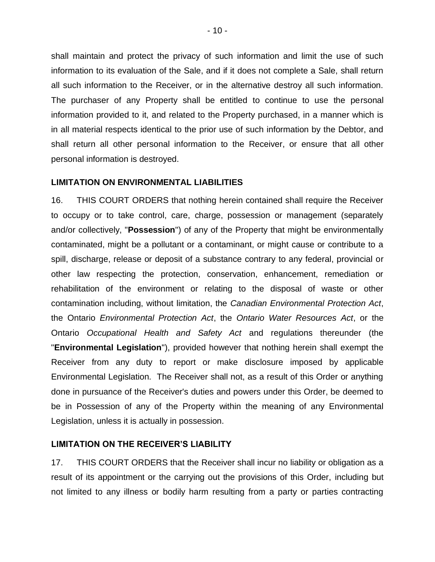shall maintain and protect the privacy of such information and limit the use of such information to its evaluation of the Sale, and if it does not complete a Sale, shall return all such information to the Receiver, or in the alternative destroy all such information. The purchaser of any Property shall be entitled to continue to use the personal information provided to it, and related to the Property purchased, in a manner which is in all material respects identical to the prior use of such information by the Debtor, and shall return all other personal information to the Receiver, or ensure that all other personal information is destroyed.

#### **LIMITATION ON ENVIRONMENTAL LIABILITIES**

16. THIS COURT ORDERS that nothing herein contained shall require the Receiver to occupy or to take control, care, charge, possession or management (separately and/or collectively, "**Possession**") of any of the Property that might be environmentally contaminated, might be a pollutant or a contaminant, or might cause or contribute to a spill, discharge, release or deposit of a substance contrary to any federal, provincial or other law respecting the protection, conservation, enhancement, remediation or rehabilitation of the environment or relating to the disposal of waste or other contamination including, without limitation, the *Canadian Environmental Protection Act*, the Ontario *Environmental Protection Act*, the *Ontario Water Resources Act*, or the Ontario *Occupational Health and Safety Act* and regulations thereunder (the "**Environmental Legislation**"), provided however that nothing herein shall exempt the Receiver from any duty to report or make disclosure imposed by applicable Environmental Legislation. The Receiver shall not, as a result of this Order or anything done in pursuance of the Receiver's duties and powers under this Order, be deemed to be in Possession of any of the Property within the meaning of any Environmental Legislation, unless it is actually in possession.

### **LIMITATION ON THE RECEIVER'S LIABILITY**

17. THIS COURT ORDERS that the Receiver shall incur no liability or obligation as a result of its appointment or the carrying out the provisions of this Order, including but not limited to any illness or bodily harm resulting from a party or parties contracting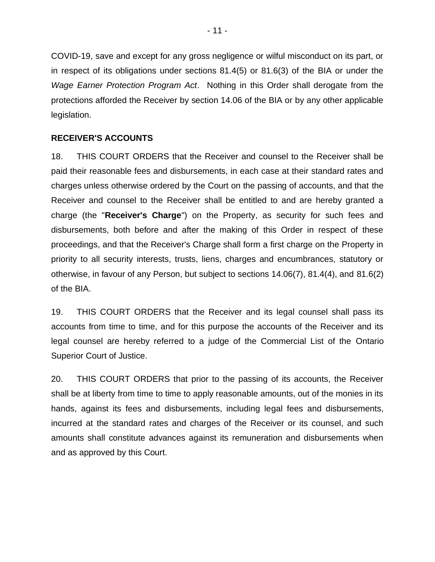COVID-19, save and except for any gross negligence or wilful misconduct on its part, or in respect of its obligations under sections 81.4(5) or 81.6(3) of the BIA or under the *Wage Earner Protection Program Act*. Nothing in this Order shall derogate from the protections afforded the Receiver by section 14.06 of the BIA or by any other applicable legislation.

## **RECEIVER'S ACCOUNTS**

18. THIS COURT ORDERS that the Receiver and counsel to the Receiver shall be paid their reasonable fees and disbursements, in each case at their standard rates and charges unless otherwise ordered by the Court on the passing of accounts, and that the Receiver and counsel to the Receiver shall be entitled to and are hereby granted a charge (the "**Receiver's Charge**") on the Property, as security for such fees and disbursements, both before and after the making of this Order in respect of these proceedings, and that the Receiver's Charge shall form a first charge on the Property in priority to all security interests, trusts, liens, charges and encumbrances, statutory or otherwise, in favour of any Person, but subject to sections 14.06(7), 81.4(4), and 81.6(2) of the BIA.

19. THIS COURT ORDERS that the Receiver and its legal counsel shall pass its accounts from time to time, and for this purpose the accounts of the Receiver and its legal counsel are hereby referred to a judge of the Commercial List of the Ontario Superior Court of Justice.

20. THIS COURT ORDERS that prior to the passing of its accounts, the Receiver shall be at liberty from time to time to apply reasonable amounts, out of the monies in its hands, against its fees and disbursements, including legal fees and disbursements, incurred at the standard rates and charges of the Receiver or its counsel, and such amounts shall constitute advances against its remuneration and disbursements when and as approved by this Court.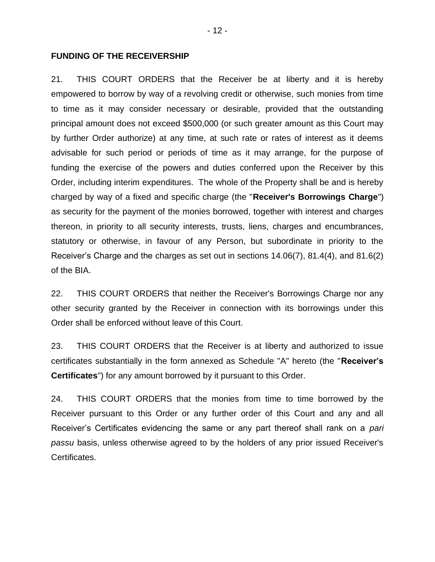## **FUNDING OF THE RECEIVERSHIP**

21. THIS COURT ORDERS that the Receiver be at liberty and it is hereby empowered to borrow by way of a revolving credit or otherwise, such monies from time to time as it may consider necessary or desirable, provided that the outstanding principal amount does not exceed \$500,000 (or such greater amount as this Court may by further Order authorize) at any time, at such rate or rates of interest as it deems advisable for such period or periods of time as it may arrange, for the purpose of funding the exercise of the powers and duties conferred upon the Receiver by this Order, including interim expenditures. The whole of the Property shall be and is hereby charged by way of a fixed and specific charge (the "**Receiver's Borrowings Charge**") as security for the payment of the monies borrowed, together with interest and charges thereon, in priority to all security interests, trusts, liens, charges and encumbrances, statutory or otherwise, in favour of any Person, but subordinate in priority to the Receiver's Charge and the charges as set out in sections 14.06(7), 81.4(4), and 81.6(2) of the BIA.

22. THIS COURT ORDERS that neither the Receiver's Borrowings Charge nor any other security granted by the Receiver in connection with its borrowings under this Order shall be enforced without leave of this Court.

23. THIS COURT ORDERS that the Receiver is at liberty and authorized to issue certificates substantially in the form annexed as Schedule "A" hereto (the "**Receiver's Certificates**") for any amount borrowed by it pursuant to this Order.

24. THIS COURT ORDERS that the monies from time to time borrowed by the Receiver pursuant to this Order or any further order of this Court and any and all Receiver's Certificates evidencing the same or any part thereof shall rank on a *pari passu* basis, unless otherwise agreed to by the holders of any prior issued Receiver's Certificates.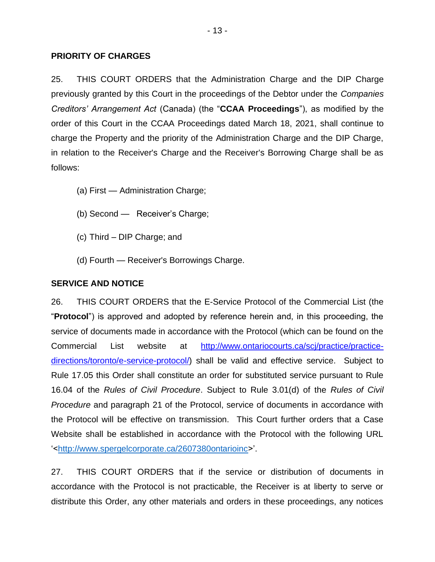## **PRIORITY OF CHARGES**

25. THIS COURT ORDERS that the Administration Charge and the DIP Charge previously granted by this Court in the proceedings of the Debtor under the *Companies Creditors' Arrangement Act* (Canada) (the "**CCAA Proceedings**"), as modified by the order of this Court in the CCAA Proceedings dated March 18, 2021, shall continue to charge the Property and the priority of the Administration Charge and the DIP Charge, in relation to the Receiver's Charge and the Receiver's Borrowing Charge shall be as follows:

- (a) First Administration Charge;
- (b) Second Receiver's Charge;
- (c) Third DIP Charge; and
- (d) Fourth Receiver's Borrowings Charge.

## **SERVICE AND NOTICE**

26. THIS COURT ORDERS that the E-Service Protocol of the Commercial List (the "**Protocol**") is approved and adopted by reference herein and, in this proceeding, the service of documents made in accordance with the Protocol (which can be found on the Commercial List website at http://www.ontariocourts.ca/scj/practice/practicedirections/toronto/e-service-protocol/) shall be valid and effective service. Subject to Rule 17.05 this Order shall constitute an order for substituted service pursuant to Rule 16.04 of the *Rules of Civil Procedure*. Subject to Rule 3.01(d) of the *Rules of Civil Procedure* and paragraph 21 of the Protocol, service of documents in accordance with the Protocol will be effective on transmission. This Court further orders that a Case Website shall be established in accordance with the Protocol with the following URL '<http://www.spergelcorporate.ca/2607380ontarioinc>'.

27. THIS COURT ORDERS that if the service or distribution of documents in accordance with the Protocol is not practicable, the Receiver is at liberty to serve or distribute this Order, any other materials and orders in these proceedings, any notices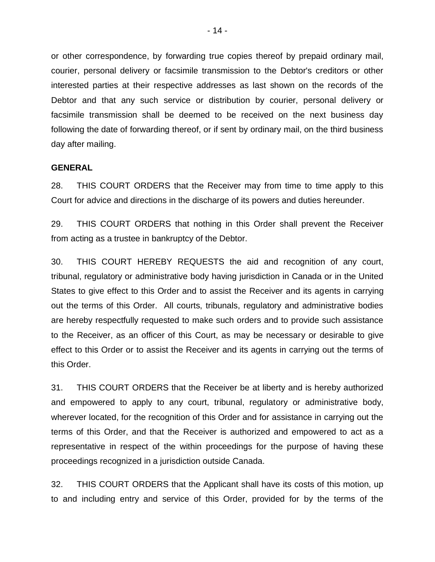or other correspondence, by forwarding true copies thereof by prepaid ordinary mail, courier, personal delivery or facsimile transmission to the Debtor's creditors or other interested parties at their respective addresses as last shown on the records of the Debtor and that any such service or distribution by courier, personal delivery or facsimile transmission shall be deemed to be received on the next business day following the date of forwarding thereof, or if sent by ordinary mail, on the third business day after mailing.

#### **GENERAL**

28. THIS COURT ORDERS that the Receiver may from time to time apply to this Court for advice and directions in the discharge of its powers and duties hereunder.

29. THIS COURT ORDERS that nothing in this Order shall prevent the Receiver from acting as a trustee in bankruptcy of the Debtor.

30. THIS COURT HEREBY REQUESTS the aid and recognition of any court, tribunal, regulatory or administrative body having jurisdiction in Canada or in the United States to give effect to this Order and to assist the Receiver and its agents in carrying out the terms of this Order. All courts, tribunals, regulatory and administrative bodies are hereby respectfully requested to make such orders and to provide such assistance to the Receiver, as an officer of this Court, as may be necessary or desirable to give effect to this Order or to assist the Receiver and its agents in carrying out the terms of this Order.

31. THIS COURT ORDERS that the Receiver be at liberty and is hereby authorized and empowered to apply to any court, tribunal, regulatory or administrative body, wherever located, for the recognition of this Order and for assistance in carrying out the terms of this Order, and that the Receiver is authorized and empowered to act as a representative in respect of the within proceedings for the purpose of having these proceedings recognized in a jurisdiction outside Canada.

32. THIS COURT ORDERS that the Applicant shall have its costs of this motion, up to and including entry and service of this Order, provided for by the terms of the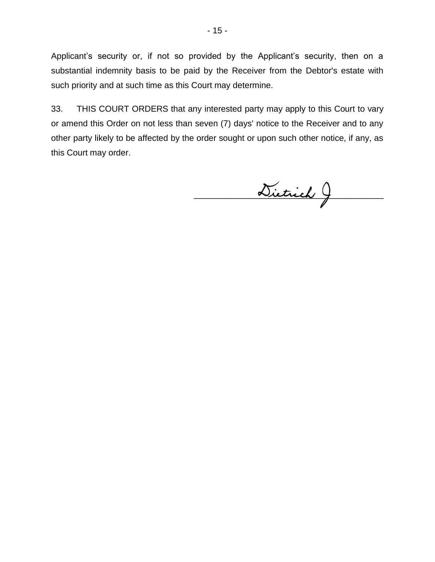Applicant's security or, if not so provided by the Applicant's security, then on a substantial indemnity basis to be paid by the Receiver from the Debtor's estate with such priority and at such time as this Court may determine.

33. THIS COURT ORDERS that any interested party may apply to this Court to vary or amend this Order on not less than seven (7) days' notice to the Receiver and to any other party likely to be affected by the order sought or upon such other notice, if any, as this Court may order.

Dietrich J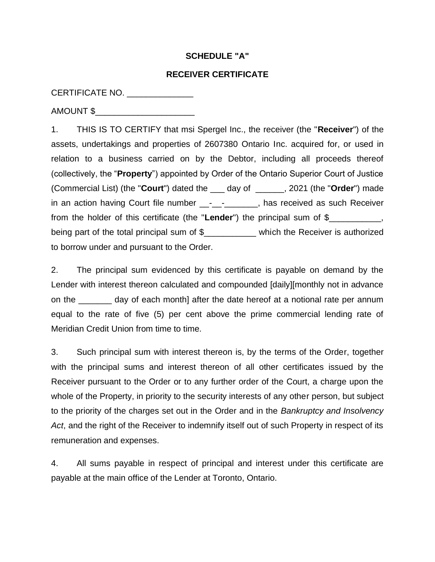## **SCHEDULE "A"**

### **RECEIVER CERTIFICATE**

CERTIFICATE NO. \_\_\_\_\_\_\_\_\_\_\_\_\_\_\_

AMOUNT \$\_\_\_\_\_\_\_\_\_\_\_\_\_\_\_\_\_\_\_\_\_

1. THIS IS TO CERTIFY that msi Spergel Inc., the receiver (the "**Receiver**") of the assets, undertakings and properties of 2607380 Ontario Inc. acquired for, or used in relation to a business carried on by the Debtor, including all proceeds thereof (collectively, the "**Property**") appointed by Order of the Ontario Superior Court of Justice (Commercial List) (the "**Court**") dated the \_\_\_ day of \_\_\_\_\_\_, 2021 (the "**Order**") made in an action having Court file number \_\_-\_\_\_\_\_\_\_\_, has received as such Receiver from the holder of this certificate (the "**Lender**") the principal sum of \$\_\_\_\_\_\_\_\_\_\_\_, being part of the total principal sum of \$\_\_\_\_\_\_\_\_\_\_ which the Receiver is authorized to borrow under and pursuant to the Order.

2. The principal sum evidenced by this certificate is payable on demand by the Lender with interest thereon calculated and compounded [daily][monthly not in advance on the \_\_\_\_\_\_\_ day of each month] after the date hereof at a notional rate per annum equal to the rate of five (5) per cent above the prime commercial lending rate of Meridian Credit Union from time to time.

3. Such principal sum with interest thereon is, by the terms of the Order, together with the principal sums and interest thereon of all other certificates issued by the Receiver pursuant to the Order or to any further order of the Court, a charge upon the whole of the Property, in priority to the security interests of any other person, but subject to the priority of the charges set out in the Order and in the *Bankruptcy and Insolvency Act*, and the right of the Receiver to indemnify itself out of such Property in respect of its remuneration and expenses.

4. All sums payable in respect of principal and interest under this certificate are payable at the main office of the Lender at Toronto, Ontario.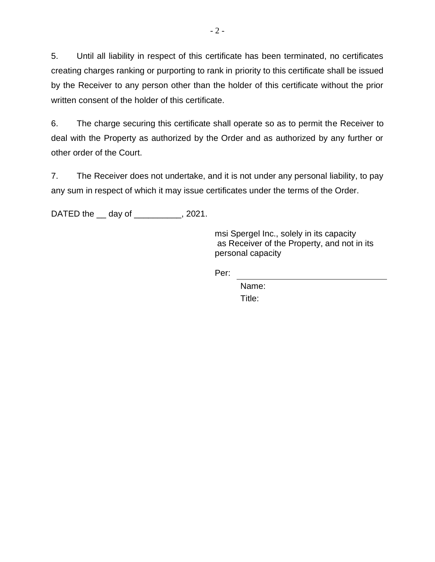5. Until all liability in respect of this certificate has been terminated, no certificates creating charges ranking or purporting to rank in priority to this certificate shall be issued by the Receiver to any person other than the holder of this certificate without the prior written consent of the holder of this certificate.

6. The charge securing this certificate shall operate so as to permit the Receiver to deal with the Property as authorized by the Order and as authorized by any further or other order of the Court.

7. The Receiver does not undertake, and it is not under any personal liability, to pay any sum in respect of which it may issue certificates under the terms of the Order.

DATED the \_\_ day of \_\_\_\_\_\_\_\_\_, 2021.

msi Spergel Inc., solely in its capacity as Receiver of the Property, and not in its personal capacity

Per:

Name: Title: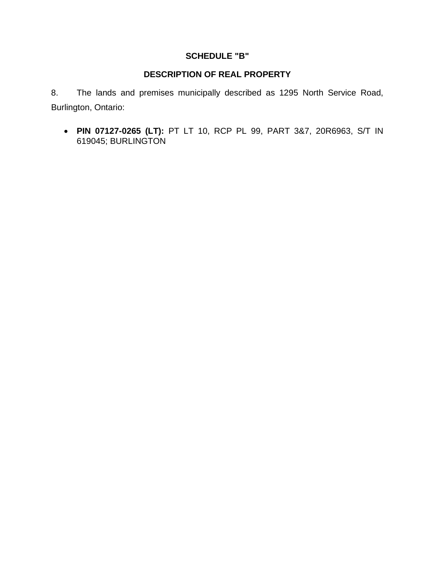# **SCHEDULE "B"**

# **DESCRIPTION OF REAL PROPERTY**

8. The lands and premises municipally described as 1295 North Service Road, Burlington, Ontario:

• **PIN 07127-0265 (LT):** PT LT 10, RCP PL 99, PART 3&7, 20R6963, S/T IN 619045; BURLINGTON